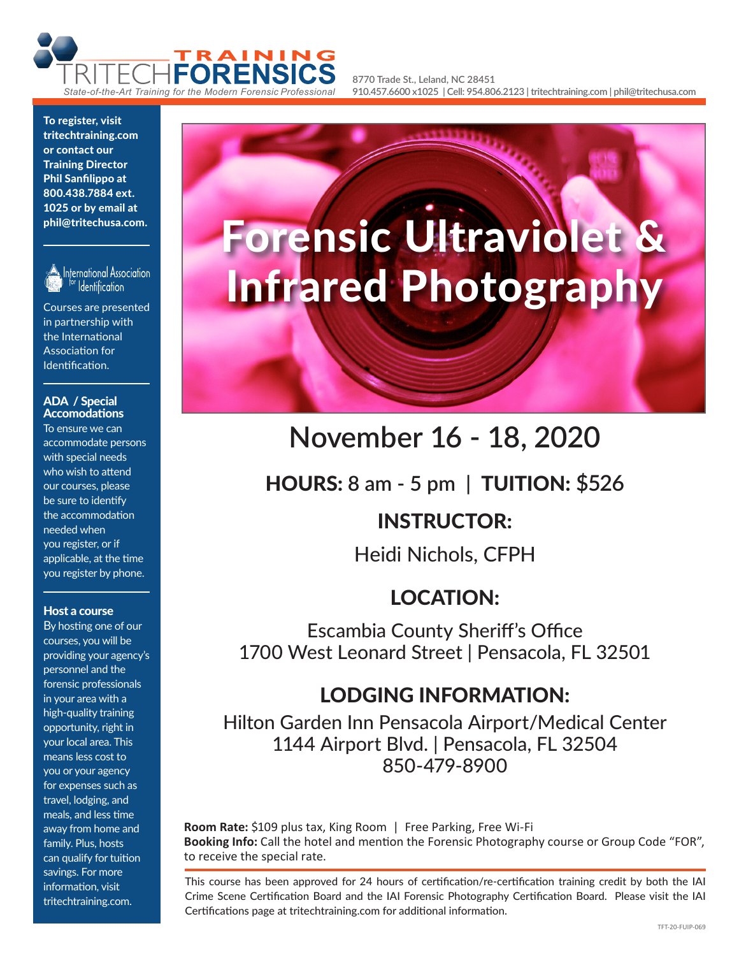

**8770 Trade St., Leland, NC 28451 910.457.6600 x1025 | Cell: 954.806.2123 | tritechtraining.com | phil@tritechusa.com**

To register, visit tritechtraining.com or contact our Training Director Phil Sanfilippo at 800.438.7884 ext. 1025 or by email at phil@tritechusa.com.



International Association **Identification** 

Courses are presented in partnership with the International Association for Identification.

#### ADA / Special Accomodations

To ensure we can accommodate persons with special needs who wish to attend our courses, please be sure to identify the accommodation needed when you register, or if applicable, at the time you register by phone.

#### Host a course

By hosting one of our courses, you will be providing your agency's personnel and the forensic professionals in your area with a high-quality training opportunity, right in your local area. This means less cost to you or your agency for expenses such as travel, lodging, and meals, and less time away from home and family. Plus, hosts can qualify for tuition savings. For more information, visit tritechtraining.com.

# Forensic Ultraviolet & Infrared Photography

# **November 16 - 18, 2020**

HOURS: **8 am - 5 pm |** TUITION: **\$526**

## INSTRUCTOR:

Heidi Nichols, CFPH

## LOCATION:

Escambia County Sheriff's Office 1700 West Leonard Street | Pensacola, FL 32501

## LODGING INFORMATION:

Hilton Garden Inn Pensacola Airport/Medical Center 1144 Airport Blvd. | Pensacola, FL 32504 850-479-8900

**Room Rate:** \$109 plus tax, King Room | Free Parking, Free Wi-Fi **Booking Info:** Call the hotel and mention the Forensic Photography course or Group Code "FOR", to receive the special rate.

This course has been approved for 24 hours of certification/re-certification training credit by both the IAI Crime Scene Certification Board and the IAI Forensic Photography Certification Board. Please visit the IAI Certifications page at tritechtraining.com for additional information.